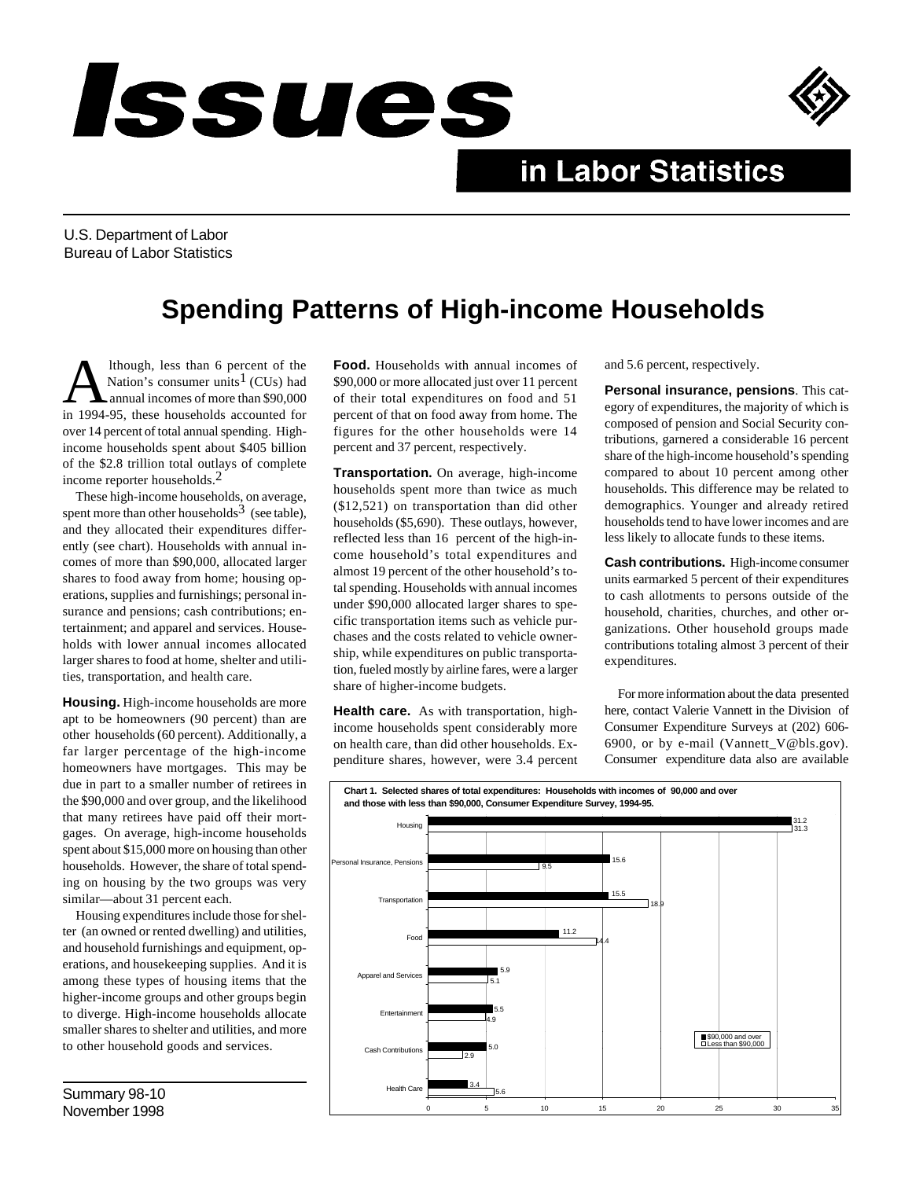## *Issues*



## in Labor Statistics

U.S. Department of Labor Bureau of Labor Statistics

## **Spending Patterns of High-income Households**

A lthough, less than 6 percent of the<br>Nation's consumer units<sup>1</sup> (CUs) had<br>annual incomes of more than \$90,000<br>in 1994-95, these households accounted for lthough, less than 6 percent of the Nation's consumer units<sup>1</sup> (CUs) had annual incomes of more than \$90,000 over 14 percent of total annual spending. Highincome households spent about \$405 billion of the \$2.8 trillion total outlays of complete income reporter households.2

These high-income households, on average, spent more than other households<sup>3</sup> (see table), and they allocated their expenditures differently (see chart). Households with annual incomes of more than \$90,000, allocated larger shares to food away from home; housing operations, supplies and furnishings; personal insurance and pensions; cash contributions; entertainment; and apparel and services. Households with lower annual incomes allocated larger shares to food at home, shelter and utilities, transportation, and health care.

**Housing.** High-income households are more apt to be homeowners (90 percent) than are other households (60 percent). Additionally, a far larger percentage of the high-income homeowners have mortgages. This may be due in part to a smaller number of retirees in the \$90,000 and over group, and the likelihood that many retirees have paid off their mortgages. On average, high-income households spent about \$15,000 more on housing than other households. However, the share of total spending on housing by the two groups was very similar—about 31 percent each.

Housing expenditures include those for shelter (an owned or rented dwelling) and utilities, and household furnishings and equipment, operations, and housekeeping supplies. And it is among these types of housing items that the higher-income groups and other groups begin to diverge. High-income households allocate smaller shares to shelter and utilities, and more to other household goods and services.

**Food.** Households with annual incomes of \$90,000 or more allocated just over 11 percent of their total expenditures on food and 51 percent of that on food away from home. The figures for the other households were 14 percent and 37 percent, respectively.

**Transportation.** On average, high-income households spent more than twice as much (\$12,521) on transportation than did other households (\$5,690). These outlays, however, reflected less than 16 percent of the high-income household's total expenditures and almost 19 percent of the other household's total spending. Households with annual incomes under \$90,000 allocated larger shares to specific transportation items such as vehicle purchases and the costs related to vehicle ownership, while expenditures on public transportation, fueled mostly by airline fares, were a larger share of higher-income budgets.

**Health care.** As with transportation, highincome households spent considerably more on health care, than did other households. Expenditure shares, however, were 3.4 percent and 5.6 percent, respectively.

**Personal insurance, pensions**. This category of expenditures, the majority of which is composed of pension and Social Security contributions, garnered a considerable 16 percent share of the high-income household's spending compared to about 10 percent among other households. This difference may be related to demographics. Younger and already retired households tend to have lower incomes and are less likely to allocate funds to these items.

**Cash contributions.** High-income consumer units earmarked 5 percent of their expenditures to cash allotments to persons outside of the household, charities, churches, and other organizations. Other household groups made contributions totaling almost 3 percent of their expenditures.

For more information about the data presented here, contact Valerie Vannett in the Division of Consumer Expenditure Surveys at (202) 606- 6900, or by e-mail (Vannett\_V@bls.gov). Consumer expenditure data also are available



Summary 98-10 November 1998